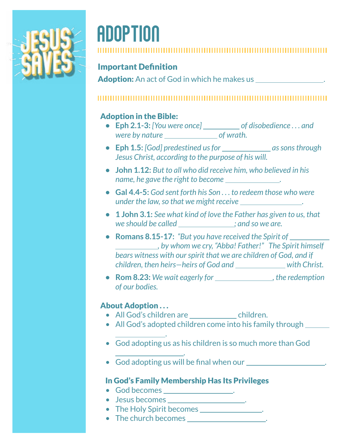

# Adoption

#### Important Definition

Adoption: An act of God in which he makes us .

#### 

### Adoption in the Bible:

- Eph 2.1-3: [You were once] \_\_\_\_\_\_\_\_\_\_ of disobedience . . . and *were by nature of wrath.*
- **Eph 1.5:** [God] predestined us for as sons through *Jesus Christ, according to the purpose of his will.*
- **• John 1.12:** *But to all who did receive him, who believed in his name, he gave the right to become .*
- **• Gal 4.4-5:** *God sent forth his Son . . . to redeem those who were under the law, so that we might receive .*
- **• 1 John 3.1:** *See what kind of love the Father has given to us, that we should be called ; and so we are.*
- **• Romans 8.15-17:** *"But you have received the Spirit of , by whom we cry, "Abba! Father!" The Spirit himself bears witness with our spirit that we are children of God, and if children, then heirs—heirs of God and with Christ.*
- **Rom 8.23:** We wait eagerly for the redemption *of our bodies.*

#### About Adoption ...

.

.

- All God's children are children.
- All God's adopted children come into his family through \_\_\_\_\_\_
- God adopting us as his children is so much more than God
- God adopting us will be final when our  $\sqrt{2\pi}$  .

#### In God's Family Membership Has Its Privileges

- God becomes .
- Jesus becomes .
- The Holy Spirit becomes .
- The church becomes .